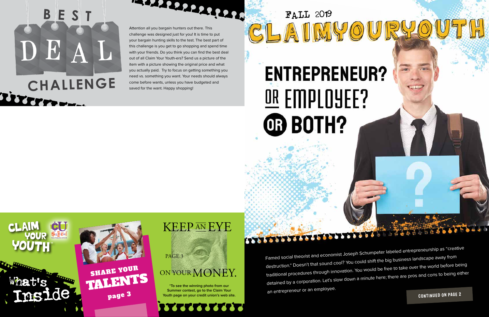



Famed social theorist and economist Joseph Schumpeter labeled entrepreneurship as "creative destruction." Doesn't that sound cool? You could shift the big business landscape away from traditional procedures through innovation. You would be free to take over the world before being detained by a corporation. Let's slow down a minute here; there are pros and cons to being either an entrepreneur or an employee.

CONTINUED ON PAGE 2

## BES DE CHALLENGE

Attention all you bargain hunters out there. This challenge was designed just for you! It is time to put your bargain hunting skills to the test. The best part of this challenge is you get to go shopping and spend time with your friends. Do you think you can find the best deal out of all Claim Your Youth-ers? Send us a picture of the item with a picture showing the original price and what you actually paid. Try to focus on getting something you need vs. something you want. Your needs should always come before wants, unless you have budgeted and saved for the want. Happy shopping!

**AMARIZARIAN**